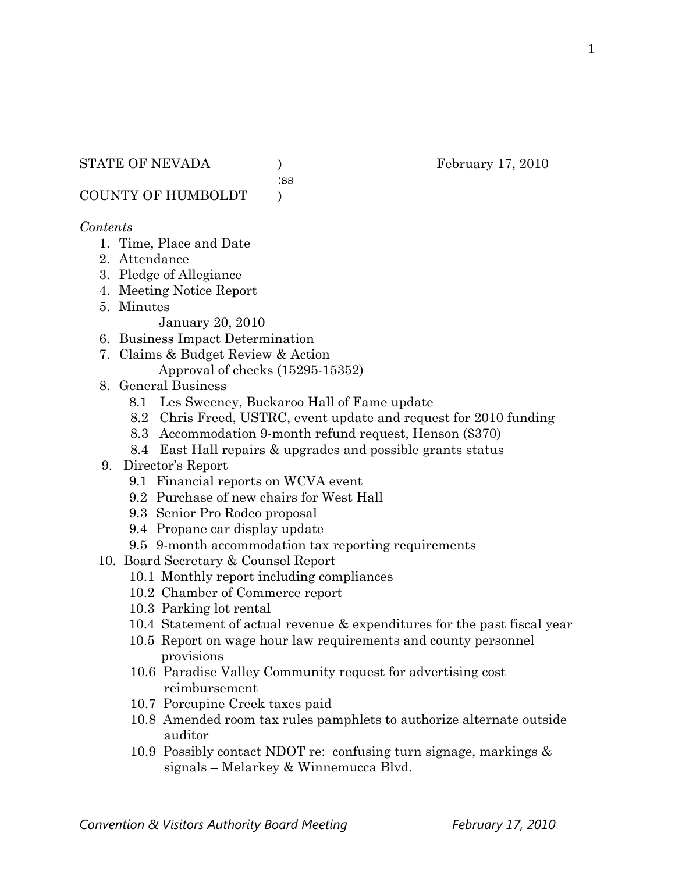:ss

COUNTY OF HUMBOLDT )

### *Contents*

- 1. Time, Place and Date
- 2. Attendance
- 3. Pledge of Allegiance
- 4. Meeting Notice Report
- 5. Minutes

January 20, 2010

- 6. Business Impact Determination
- 7. Claims & Budget Review & Action Approval of checks (15295-15352)
- 8. General Business
	- 8.1 Les Sweeney, Buckaroo Hall of Fame update
	- 8.2 Chris Freed, USTRC, event update and request for 2010 funding
	- 8.3 Accommodation 9-month refund request, Henson (\$370)
	- 8.4 East Hall repairs & upgrades and possible grants status
- 9. Director's Report
	- 9.1 Financial reports on WCVA event
	- 9.2 Purchase of new chairs for West Hall
	- 9.3 Senior Pro Rodeo proposal
	- 9.4 Propane car display update
	- 9.5 9-month accommodation tax reporting requirements
- 10. Board Secretary & Counsel Report
	- 10.1 Monthly report including compliances
	- 10.2 Chamber of Commerce report
	- 10.3 Parking lot rental
	- 10.4 Statement of actual revenue & expenditures for the past fiscal year
	- 10.5 Report on wage hour law requirements and county personnel provisions
	- 10.6 Paradise Valley Community request for advertising cost reimbursement
	- 10.7 Porcupine Creek taxes paid
	- 10.8 Amended room tax rules pamphlets to authorize alternate outside auditor
	- 10.9 Possibly contact NDOT re: confusing turn signage, markings & signals – Melarkey & Winnemucca Blvd.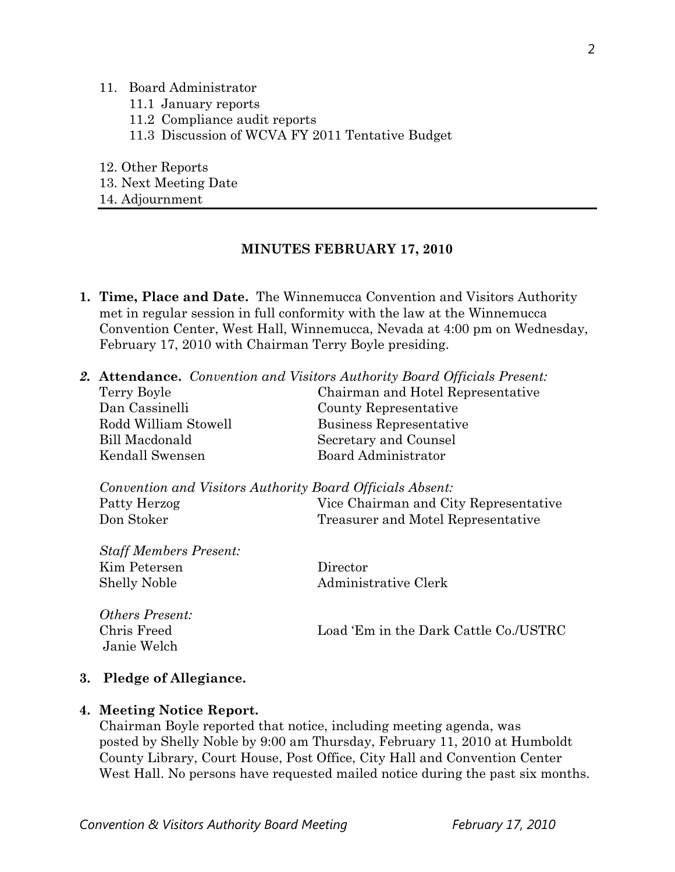#### 11. Board Administrator

- 11.1 January reports
- 11.2 Compliance audit reports
- 11.3 Discussion of WCVA FY 2011 Tentative Budget
- 12. Other Reports
- 13. Next Meeting Date
- 14. Adjournment

#### **MINUTES FEBRUARY 17, 2010**

- **1. Time, Place and Date.** The Winnemucca Convention and Visitors Authority met in regular session in full conformity with the law at the Winnemucca Convention Center, West Hall, Winnemucca, Nevada at 4:00 pm on Wednesday, February 17, 2010 with Chairman Terry Boyle presiding.
- *2.* **Attendance.** *Convention and Visitors Authority Board Officials Present:*

| Terry Boyle           | Chairman and Hotel Representative |
|-----------------------|-----------------------------------|
| Dan Cassinelli        | County Representative             |
| Rodd William Stowell  | Business Representative           |
| <b>Bill Macdonald</b> | Secretary and Counsel             |
| Kendall Swensen       | Board Administrator               |
|                       |                                   |

|              | Convention and Visitors Authority Board Officials Absent: |
|--------------|-----------------------------------------------------------|
| Patty Herzog | Vice Chairman and City Representative                     |
| Don Stoker   | Treasurer and Motel Representative                        |

*Staff Members Present:*  Kim Petersen Director Shelly Noble Administrative Clerk

*Others Present:*  Chris Freed Load 'Em in the Dark Cattle Co./USTRC Janie Welch

#### **3. Pledge of Allegiance.**

#### **4. Meeting Notice Report.**

Chairman Boyle reported that notice, including meeting agenda, was posted by Shelly Noble by 9:00 am Thursday, February 11, 2010 at Humboldt County Library, Court House, Post Office, City Hall and Convention Center West Hall. No persons have requested mailed notice during the past six months.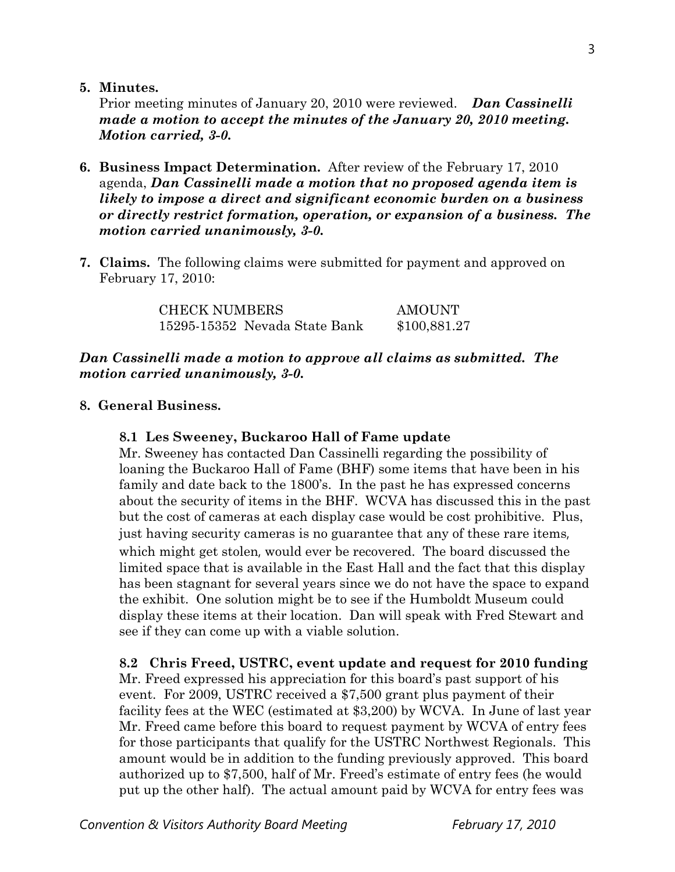**5. Minutes.** 

Prior meeting minutes of January 20, 2010 were reviewed. *Dan Cassinelli made a motion to accept the minutes of the January 20, 2010 meeting. Motion carried, 3-0.* 

- **6. Business Impact Determination.** After review of the February 17, 2010 agenda, *Dan Cassinelli made a motion that no proposed agenda item is likely to impose a direct and significant economic burden on a business or directly restrict formation, operation, or expansion of a business. The motion carried unanimously, 3-0.*
- **7. Claims.** The following claims were submitted for payment and approved on February 17, 2010:

CHECK NUMBERS AMOUNT 15295-15352 Nevada State Bank \$100,881.27

## *Dan Cassinelli made a motion to approve all claims as submitted. The motion carried unanimously, 3-0.*

## **8. General Business.**

### **8.1 Les Sweeney, Buckaroo Hall of Fame update**

Mr. Sweeney has contacted Dan Cassinelli regarding the possibility of loaning the Buckaroo Hall of Fame (BHF) some items that have been in his family and date back to the 1800's. In the past he has expressed concerns about the security of items in the BHF. WCVA has discussed this in the past but the cost of cameras at each display case would be cost prohibitive. Plus, just having security cameras is no guarantee that any of these rare items, which might get stolen, would ever be recovered. The board discussed the limited space that is available in the East Hall and the fact that this display has been stagnant for several years since we do not have the space to expand the exhibit. One solution might be to see if the Humboldt Museum could display these items at their location. Dan will speak with Fred Stewart and see if they can come up with a viable solution.

**8.2 Chris Freed, USTRC, event update and request for 2010 funding**  Mr. Freed expressed his appreciation for this board's past support of his event. For 2009, USTRC received a \$7,500 grant plus payment of their facility fees at the WEC (estimated at \$3,200) by WCVA. In June of last year Mr. Freed came before this board to request payment by WCVA of entry fees

for those participants that qualify for the USTRC Northwest Regionals. This amount would be in addition to the funding previously approved. This board authorized up to \$7,500, half of Mr. Freed's estimate of entry fees (he would put up the other half). The actual amount paid by WCVA for entry fees was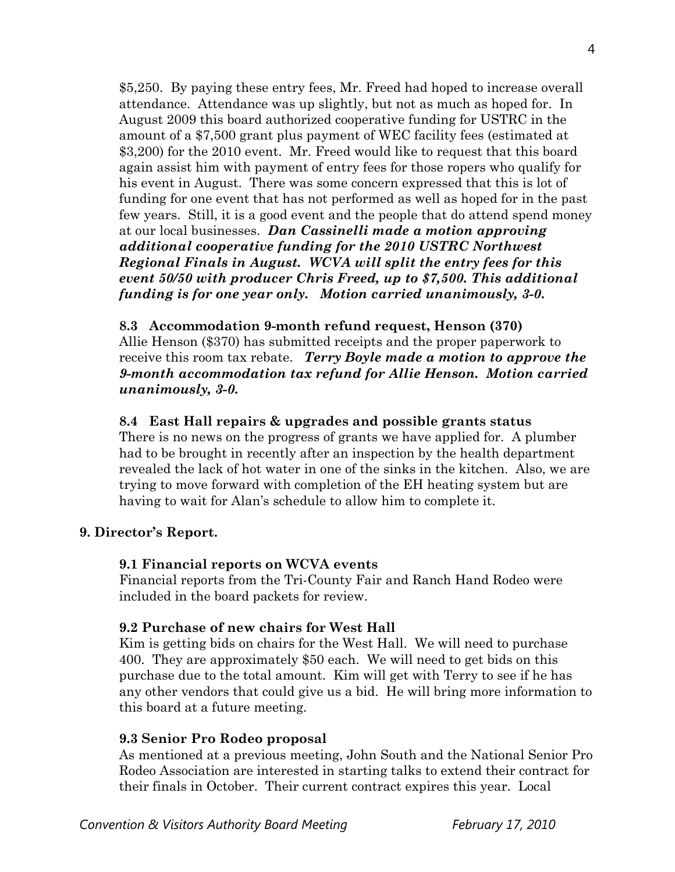\$5,250. By paying these entry fees, Mr. Freed had hoped to increase overall attendance. Attendance was up slightly, but not as much as hoped for. In August 2009 this board authorized cooperative funding for USTRC in the amount of a \$7,500 grant plus payment of WEC facility fees (estimated at \$3,200) for the 2010 event. Mr. Freed would like to request that this board again assist him with payment of entry fees for those ropers who qualify for his event in August. There was some concern expressed that this is lot of funding for one event that has not performed as well as hoped for in the past few years. Still, it is a good event and the people that do attend spend money at our local businesses. *Dan Cassinelli made a motion approving additional cooperative funding for the 2010 USTRC Northwest Regional Finals in August. WCVA will split the entry fees for this event 50/50 with producer Chris Freed, up to \$7,500. This additional funding is for one year only. Motion carried unanimously, 3-0.* 

### **8.3 Accommodation 9-month refund request, Henson (370)**

Allie Henson (\$370) has submitted receipts and the proper paperwork to receive this room tax rebate. *Terry Boyle made a motion to approve the 9-month accommodation tax refund for Allie Henson. Motion carried unanimously, 3-0.* 

### **8.4 East Hall repairs & upgrades and possible grants status**

There is no news on the progress of grants we have applied for. A plumber had to be brought in recently after an inspection by the health department revealed the lack of hot water in one of the sinks in the kitchen. Also, we are trying to move forward with completion of the EH heating system but are having to wait for Alan's schedule to allow him to complete it.

## **9. Director's Report.**

### **9.1 Financial reports on WCVA events**

Financial reports from the Tri-County Fair and Ranch Hand Rodeo were included in the board packets for review.

### **9.2 Purchase of new chairs for West Hall**

Kim is getting bids on chairs for the West Hall. We will need to purchase 400. They are approximately \$50 each. We will need to get bids on this purchase due to the total amount. Kim will get with Terry to see if he has any other vendors that could give us a bid. He will bring more information to this board at a future meeting.

### **9.3 Senior Pro Rodeo proposal**

As mentioned at a previous meeting, John South and the National Senior Pro Rodeo Association are interested in starting talks to extend their contract for their finals in October. Their current contract expires this year. Local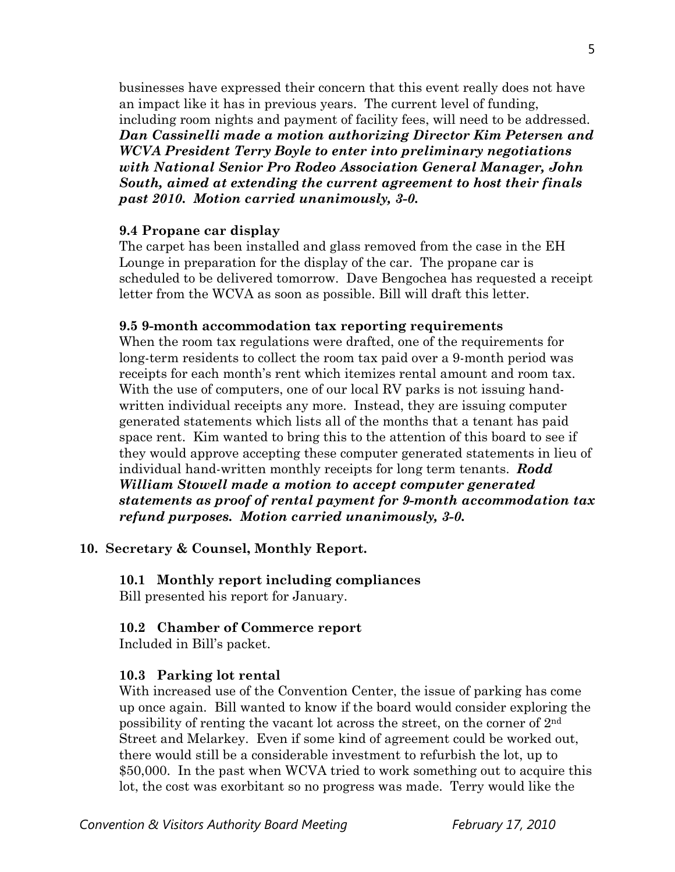businesses have expressed their concern that this event really does not have an impact like it has in previous years. The current level of funding, including room nights and payment of facility fees, will need to be addressed. *Dan Cassinelli made a motion authorizing Director Kim Petersen and WCVA President Terry Boyle to enter into preliminary negotiations with National Senior Pro Rodeo Association General Manager, John South, aimed at extending the current agreement to host their finals past 2010. Motion carried unanimously, 3-0.* 

#### **9.4 Propane car display**

The carpet has been installed and glass removed from the case in the EH Lounge in preparation for the display of the car. The propane car is scheduled to be delivered tomorrow. Dave Bengochea has requested a receipt letter from the WCVA as soon as possible. Bill will draft this letter.

#### **9.5 9-month accommodation tax reporting requirements**

When the room tax regulations were drafted, one of the requirements for long-term residents to collect the room tax paid over a 9-month period was receipts for each month's rent which itemizes rental amount and room tax. With the use of computers, one of our local RV parks is not issuing handwritten individual receipts any more. Instead, they are issuing computer generated statements which lists all of the months that a tenant has paid space rent. Kim wanted to bring this to the attention of this board to see if they would approve accepting these computer generated statements in lieu of individual hand-written monthly receipts for long term tenants. *Rodd William Stowell made a motion to accept computer generated statements as proof of rental payment for 9-month accommodation tax refund purposes. Motion carried unanimously, 3-0.* 

### **10. Secretary & Counsel, Monthly Report.**

**10.1 Monthly report including compliances**  Bill presented his report for January.

## **10.2 Chamber of Commerce report**

Included in Bill's packet.

### **10.3 Parking lot rental**

With increased use of the Convention Center, the issue of parking has come up once again. Bill wanted to know if the board would consider exploring the possibility of renting the vacant lot across the street, on the corner of  $2<sup>nd</sup>$ Street and Melarkey. Even if some kind of agreement could be worked out, there would still be a considerable investment to refurbish the lot, up to \$50,000. In the past when WCVA tried to work something out to acquire this lot, the cost was exorbitant so no progress was made. Terry would like the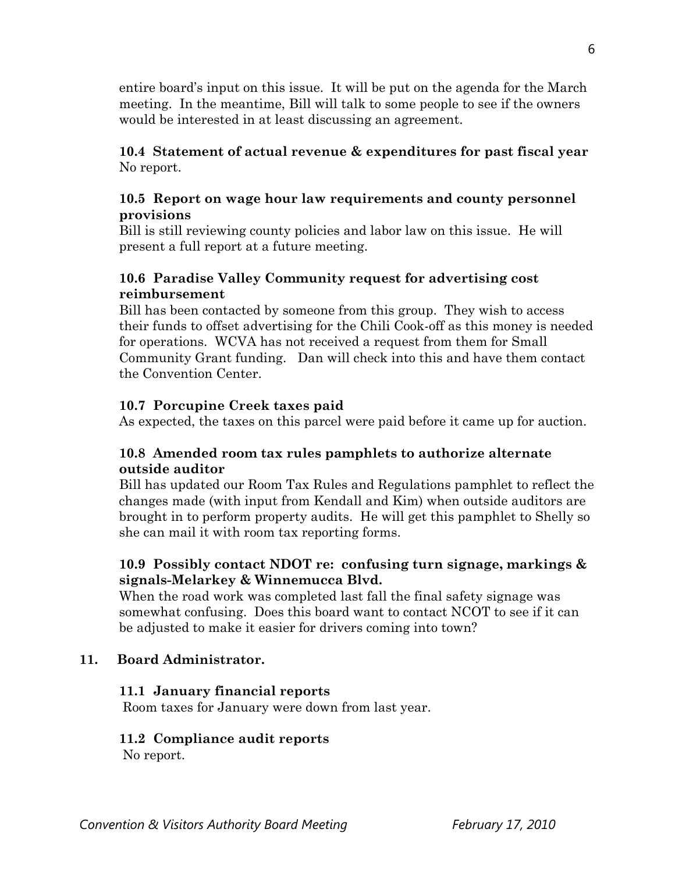entire board's input on this issue. It will be put on the agenda for the March meeting. In the meantime, Bill will talk to some people to see if the owners would be interested in at least discussing an agreement.

## **10.4 Statement of actual revenue & expenditures for past fiscal year** No report.

# **10.5 Report on wage hour law requirements and county personnel provisions**

Bill is still reviewing county policies and labor law on this issue. He will present a full report at a future meeting.

# **10.6 Paradise Valley Community request for advertising cost reimbursement**

Bill has been contacted by someone from this group. They wish to access their funds to offset advertising for the Chili Cook-off as this money is needed for operations. WCVA has not received a request from them for Small Community Grant funding. Dan will check into this and have them contact the Convention Center.

# **10.7 Porcupine Creek taxes paid**

As expected, the taxes on this parcel were paid before it came up for auction.

# **10.8 Amended room tax rules pamphlets to authorize alternate outside auditor**

Bill has updated our Room Tax Rules and Regulations pamphlet to reflect the changes made (with input from Kendall and Kim) when outside auditors are brought in to perform property audits. He will get this pamphlet to Shelly so she can mail it with room tax reporting forms.

# **10.9 Possibly contact NDOT re: confusing turn signage, markings & signals-Melarkey & Winnemucca Blvd.**

When the road work was completed last fall the final safety signage was somewhat confusing. Does this board want to contact NCOT to see if it can be adjusted to make it easier for drivers coming into town?

# **11. Board Administrator.**

# **11.1 January financial reports**

Room taxes for January were down from last year.

# **11.2 Compliance audit reports**

No report.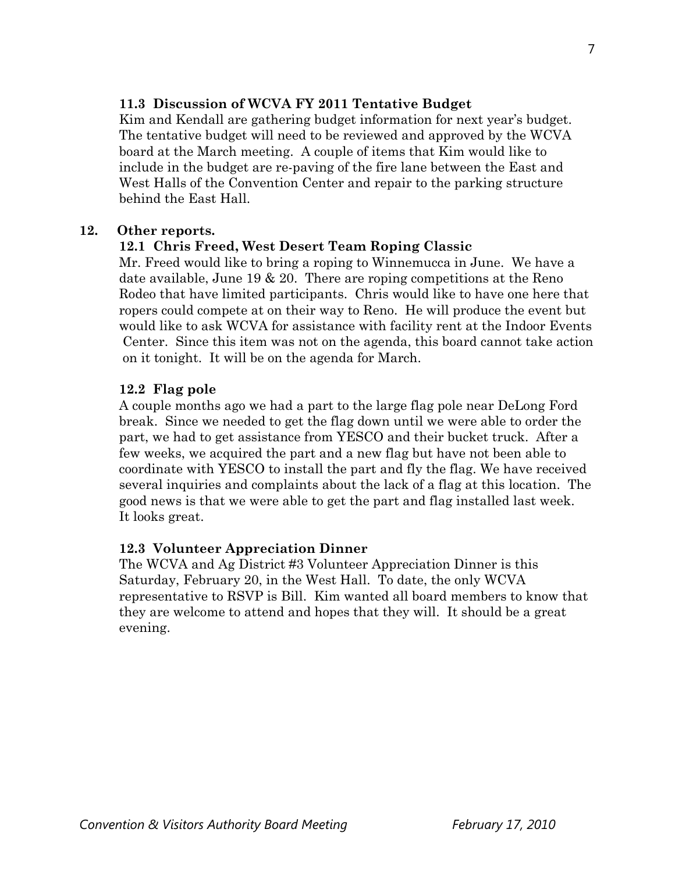## **11.3 Discussion of WCVA FY 2011 Tentative Budget**

Kim and Kendall are gathering budget information for next year's budget. The tentative budget will need to be reviewed and approved by the WCVA board at the March meeting. A couple of items that Kim would like to include in the budget are re-paving of the fire lane between the East and West Halls of the Convention Center and repair to the parking structure behind the East Hall.

## **12. Other reports.**

## **12.1 Chris Freed, West Desert Team Roping Classic**

Mr. Freed would like to bring a roping to Winnemucca in June. We have a date available, June 19 & 20. There are roping competitions at the Reno Rodeo that have limited participants. Chris would like to have one here that ropers could compete at on their way to Reno. He will produce the event but would like to ask WCVA for assistance with facility rent at the Indoor Events Center. Since this item was not on the agenda, this board cannot take action on it tonight. It will be on the agenda for March.

## **12.2 Flag pole**

A couple months ago we had a part to the large flag pole near DeLong Ford break. Since we needed to get the flag down until we were able to order the part, we had to get assistance from YESCO and their bucket truck. After a few weeks, we acquired the part and a new flag but have not been able to coordinate with YESCO to install the part and fly the flag. We have received several inquiries and complaints about the lack of a flag at this location. The good news is that we were able to get the part and flag installed last week. It looks great.

## **12.3 Volunteer Appreciation Dinner**

The WCVA and Ag District #3 Volunteer Appreciation Dinner is this Saturday, February 20, in the West Hall. To date, the only WCVA representative to RSVP is Bill. Kim wanted all board members to know that they are welcome to attend and hopes that they will. It should be a great evening.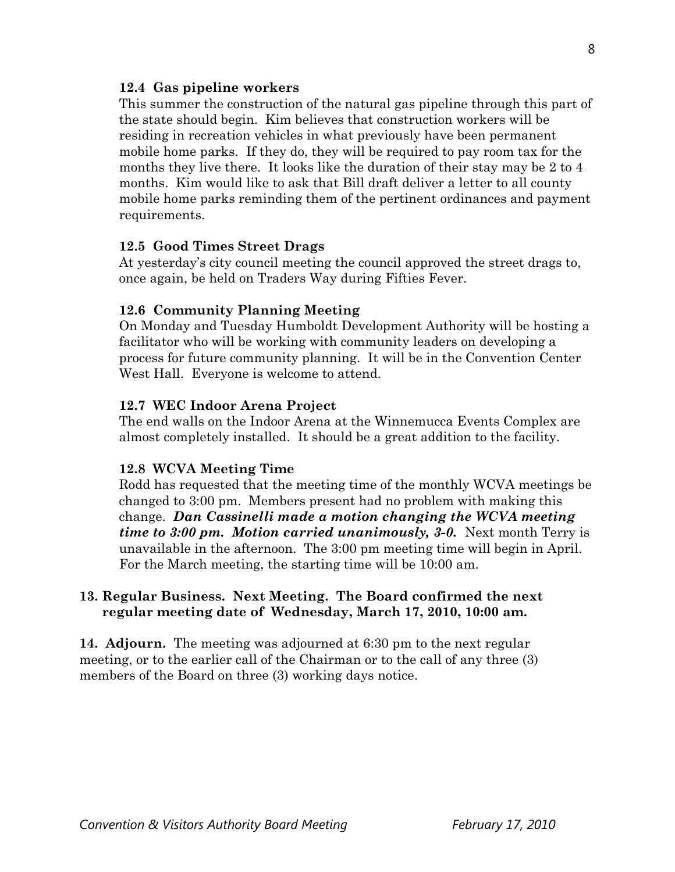### **12.4 Gas pipeline workers**

This summer the construction of the natural gas pipeline through this part of the state should begin. Kim believes that construction workers will be residing in recreation vehicles in what previously have been permanent mobile home parks. If they do, they will be required to pay room tax for the months they live there. It looks like the duration of their stay may be 2 to 4 months. Kim would like to ask that Bill draft deliver a letter to all county mobile home parks reminding them of the pertinent ordinances and payment requirements.

### **12.5 Good Times Street Drags**

At yesterday's city council meeting the council approved the street drags to, once again, be held on Traders Way during Fifties Fever.

### **12.6 Community Planning Meeting**

On Monday and Tuesday Humboldt Development Authority will be hosting a facilitator who will be working with community leaders on developing a process for future community planning. It will be in the Convention Center West Hall. Everyone is welcome to attend.

### **12.7 WEC Indoor Arena Project**

The end walls on the Indoor Arena at the Winnemucca Events Complex are almost completely installed. It should be a great addition to the facility.

### **12.8 WCVA Meeting Time**

Rodd has requested that the meeting time of the monthly WCVA meetings be changed to 3:00 pm. Members present had no problem with making this change. *Dan Cassinelli made a motion changing the WCVA meeting time to 3:00 pm. Motion carried unanimously, 3-0.* Next month Terry is unavailable in the afternoon. The 3:00 pm meeting time will begin in April. For the March meeting, the starting time will be 10:00 am.

## **13. Regular Business. Next Meeting. The Board confirmed the next regular meeting date of Wednesday, March 17, 2010, 10:00 am.**

**14. Adjourn.** The meeting was adjourned at 6:30 pm to the next regular meeting, or to the earlier call of the Chairman or to the call of any three (3) members of the Board on three (3) working days notice.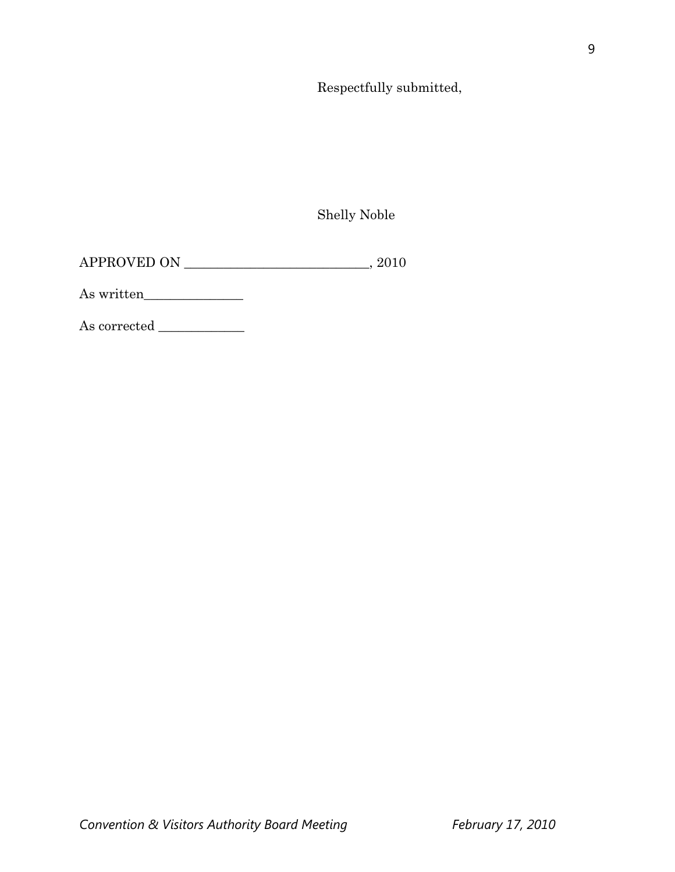Respectfully submitted,

Shelly Noble

APPROVED ON \_\_\_\_\_\_\_\_\_\_\_\_\_\_\_\_\_\_\_\_\_\_\_\_\_\_\_\_, 2010

As written\_\_\_\_\_\_\_\_\_\_\_\_\_\_\_

As corrected  $\_\_$